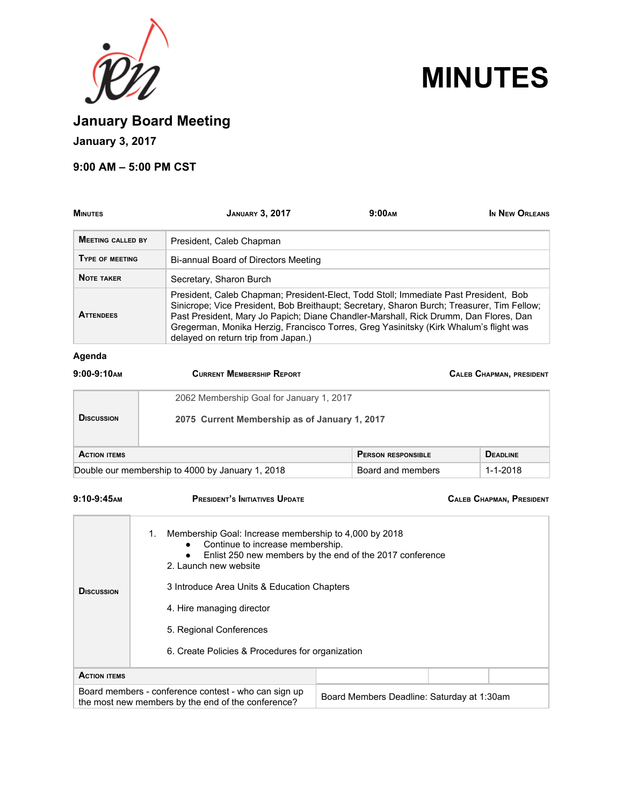



**January Board Meeting**

**January 3, 2017**

### **9:00 AM – 5:00 PM CST**

| <b>MINUTES</b>                                   | <b>JANUARY 3, 2017</b>                                                                                                                                                                                                                                                                                                                                                                                     | 9:00 <sub>AM</sub>                            | IN NEW ORLEANS                  |  |
|--------------------------------------------------|------------------------------------------------------------------------------------------------------------------------------------------------------------------------------------------------------------------------------------------------------------------------------------------------------------------------------------------------------------------------------------------------------------|-----------------------------------------------|---------------------------------|--|
| <b>MEETING CALLED BY</b>                         | President, Caleb Chapman                                                                                                                                                                                                                                                                                                                                                                                   |                                               |                                 |  |
| TYPE OF MEETING                                  | Bi-annual Board of Directors Meeting                                                                                                                                                                                                                                                                                                                                                                       |                                               |                                 |  |
| <b>NOTE TAKER</b>                                | Secretary, Sharon Burch                                                                                                                                                                                                                                                                                                                                                                                    |                                               |                                 |  |
| <b>ATTENDEES</b>                                 | President, Caleb Chapman; President-Elect, Todd Stoll; Immediate Past President, Bob<br>Sinicrope; Vice President, Bob Breithaupt; Secretary, Sharon Burch; Treasurer, Tim Fellow;<br>Past President, Mary Jo Papich; Diane Chandler-Marshall, Rick Drumm, Dan Flores, Dan<br>Gregerman, Monika Herzig, Francisco Torres, Greg Yasinitsky (Kirk Whalum's flight was<br>delayed on return trip from Japan.) |                                               |                                 |  |
| Agenda                                           |                                                                                                                                                                                                                                                                                                                                                                                                            |                                               |                                 |  |
| $9:00-9:10$ AM                                   | <b>CURRENT MEMBERSHIP REPORT</b>                                                                                                                                                                                                                                                                                                                                                                           |                                               | <b>CALEB CHAPMAN, PRESIDENT</b> |  |
|                                                  | 2062 Membership Goal for January 1, 2017                                                                                                                                                                                                                                                                                                                                                                   |                                               |                                 |  |
| <b>D</b> ISCUSSION                               |                                                                                                                                                                                                                                                                                                                                                                                                            | 2075 Current Membership as of January 1, 2017 |                                 |  |
| <b>ACTION ITEMS</b>                              |                                                                                                                                                                                                                                                                                                                                                                                                            | <b>PERSON RESPONSIBLE</b>                     | <b>DEADLINE</b>                 |  |
| Double our membership to 4000 by January 1, 2018 |                                                                                                                                                                                                                                                                                                                                                                                                            | Board and members                             | $1 - 1 - 2018$                  |  |

### **9:10-9:45AM PRESIDENT'S INITIATIVES UPDATE CALEB CHAPMAN, PRESIDENT**

| <b>D</b> ISCUSSION  | Membership Goal: Increase membership to 4,000 by 2018<br>1.<br>Continue to increase membership.<br>$\bullet$<br>Enlist 250 new members by the end of the 2017 conference<br>2. Launch new website<br>3 Introduce Area Units & Education Chapters<br>4. Hire managing director<br>5. Regional Conferences<br>6. Create Policies & Procedures for organization |
|---------------------|--------------------------------------------------------------------------------------------------------------------------------------------------------------------------------------------------------------------------------------------------------------------------------------------------------------------------------------------------------------|
| <b>ACTION ITEMS</b> |                                                                                                                                                                                                                                                                                                                                                              |
|                     | Board members - conference contest - who can sign up<br>Board Members Deadline: Saturday at 1:30am<br>the most new members by the end of the conference?                                                                                                                                                                                                     |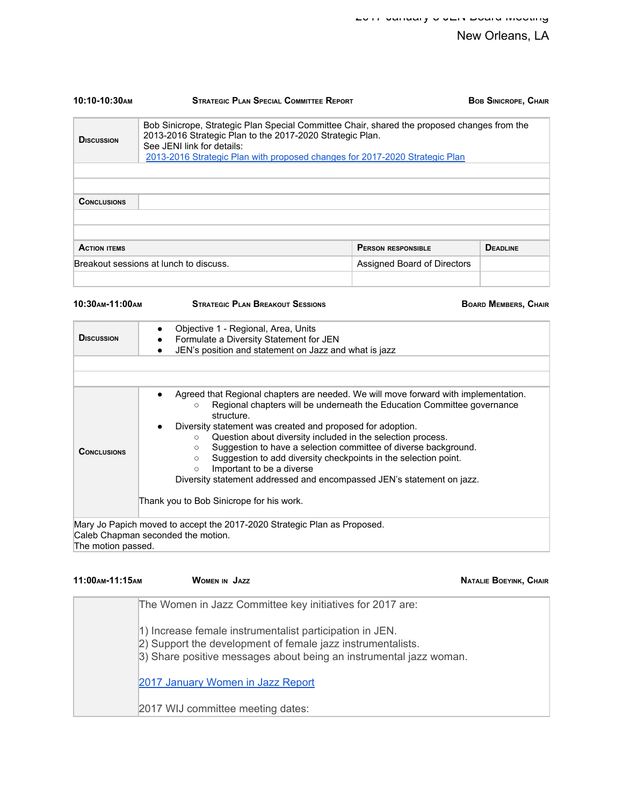| 10:10-10:30 <sub>AM</sub> | <b>STRATEGIC PI AN SPECIAL COMMITTEE REPORT</b>                                                                                                                                                                                                                       |                             | <b>BOB SINICROPE, CHAIR</b> |
|---------------------------|-----------------------------------------------------------------------------------------------------------------------------------------------------------------------------------------------------------------------------------------------------------------------|-----------------------------|-----------------------------|
| <b>DISCUSSION</b>         | Bob Sinicrope, Strategic Plan Special Committee Chair, shared the proposed changes from the<br>2013-2016 Strategic Plan to the 2017-2020 Strategic Plan.<br>See JENI link for details:<br>2013-2016 Strategic Plan with proposed changes for 2017-2020 Strategic Plan |                             |                             |
|                           |                                                                                                                                                                                                                                                                       |                             |                             |
|                           |                                                                                                                                                                                                                                                                       |                             |                             |
| <b>CONCLUSIONS</b>        |                                                                                                                                                                                                                                                                       |                             |                             |
|                           |                                                                                                                                                                                                                                                                       |                             |                             |
|                           |                                                                                                                                                                                                                                                                       |                             |                             |
| <b>ACTION ITEMS</b>       |                                                                                                                                                                                                                                                                       | <b>PERSON RESPONSIBLE</b>   | <b>DEADLINE</b>             |
|                           | Breakout sessions at lunch to discuss.                                                                                                                                                                                                                                | Assigned Board of Directors |                             |
|                           |                                                                                                                                                                                                                                                                       |                             |                             |

| 10:30 АМ-11:00 АМ  | <b>STRATEGIC PLAN BREAKOUT SESSIONS</b>                                                                                                                                                                                                                                                                                                                                                                                                                                                                                                                                                                                                       | <b>BOARD MEMBERS, CHAIR</b> |
|--------------------|-----------------------------------------------------------------------------------------------------------------------------------------------------------------------------------------------------------------------------------------------------------------------------------------------------------------------------------------------------------------------------------------------------------------------------------------------------------------------------------------------------------------------------------------------------------------------------------------------------------------------------------------------|-----------------------------|
| <b>D</b> ISCUSSION | Objective 1 - Regional, Area, Units<br>$\bullet$<br>Formulate a Diversity Statement for JEN<br>٠<br>JEN's position and statement on Jazz and what is jazz                                                                                                                                                                                                                                                                                                                                                                                                                                                                                     |                             |
| <b>CONCLUSIONS</b> | Agreed that Regional chapters are needed. We will move forward with implementation.<br>Regional chapters will be underneath the Education Committee governance<br>O<br>structure.<br>Diversity statement was created and proposed for adoption.<br>Question about diversity included in the selection process.<br>$\circ$<br>Suggestion to have a selection committee of diverse background.<br>$\circ$<br>Suggestion to add diversity checkpoints in the selection point.<br>$\circ$<br>Important to be a diverse<br>O<br>Diversity statement addressed and encompassed JEN's statement on jazz.<br>Thank you to Bob Sinicrope for his work. |                             |
|                    | Mary Jo Papich moved to accept the 2017-2020 Strategic Plan as Proposed.<br>Caleb Chapman seconded the motion.                                                                                                                                                                                                                                                                                                                                                                                                                                                                                                                                |                             |

The motion passed.

| 11:00 AM-11:15 AM | <b>WOMEN IN JAZZ</b>                                                                                                                                                                          | <b>NATALIE BOEYINK, CHAIR</b> |
|-------------------|-----------------------------------------------------------------------------------------------------------------------------------------------------------------------------------------------|-------------------------------|
|                   | The Women in Jazz Committee key initiatives for 2017 are:                                                                                                                                     |                               |
|                   | 1) Increase female instrumentalist participation in JEN.<br>2) Support the development of female jazz instrumentalists.<br>3) Share positive messages about being an instrumental jazz woman. |                               |
|                   | 2017 January Women in Jazz Report                                                                                                                                                             |                               |
|                   | 2017 WIJ committee meeting dates:                                                                                                                                                             |                               |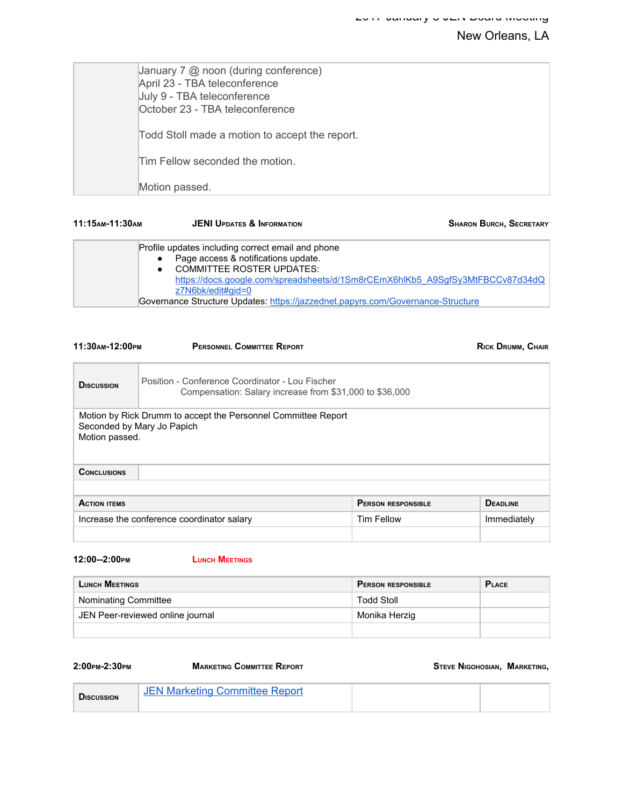| January 7 $@$ noon (during conference)<br>April 23 - TBA teleconference<br>July 9 - TBA teleconference<br>October 23 - TBA teleconference |
|-------------------------------------------------------------------------------------------------------------------------------------------|
| Todd Stoll made a motion to accept the report.                                                                                            |
| Tim Fellow seconded the motion.                                                                                                           |
| Motion passed.                                                                                                                            |

| 11:15 АМ-11:30 АМ | <b>JENI UPDATES &amp; INFORMATION</b>                                                                                                                                                                                                                                                                                 | <b>SHARON BURCH, SECRETARY</b> |
|-------------------|-----------------------------------------------------------------------------------------------------------------------------------------------------------------------------------------------------------------------------------------------------------------------------------------------------------------------|--------------------------------|
|                   | Profile updates including correct email and phone<br>Page access & notifications update.<br><b>COMMITTEE ROSTER UPDATES:</b><br>https://docs.google.com/spreadsheets/d/1Sm8rCEmX6hlKb5_A9SgfSy3MtFBCCv87d34dQ<br>z7N6bk/edit#gid=0<br>Governance Structure Updates: https://jazzednet.papyrs.com/Governance-Structure |                                |

| <b>PERSONNEL COMMITTEE REPORT</b><br>11:30 м-12:00 рм |                                                                                                            | <b>RICK DRUMM, CHAIR</b>  |                 |
|-------------------------------------------------------|------------------------------------------------------------------------------------------------------------|---------------------------|-----------------|
| <b>D</b> ISCUSSION                                    | Position - Conference Coordinator - Lou Fischer<br>Compensation: Salary increase from \$31,000 to \$36,000 |                           |                 |
| Motion passed.                                        | Motion by Rick Drumm to accept the Personnel Committee Report<br>Seconded by Mary Jo Papich                |                           |                 |
| <b>CONCLUSIONS</b>                                    |                                                                                                            |                           |                 |
|                                                       |                                                                                                            |                           |                 |
| <b>ACTION ITEMS</b>                                   |                                                                                                            | <b>PERSON RESPONSIBLE</b> | <b>DEADLINE</b> |
|                                                       | Increase the conference coordinator salary                                                                 | Tim Fellow                | Immediately     |

**12:00--2:00PM LUNCH MEETINGS**

| <b>LUNCH MEETINGS</b>            | <b>PERSON RESPONSIBLE</b> | <b>PLACE</b> |
|----------------------------------|---------------------------|--------------|
| Nominating Committee             | <b>Todd Stoll</b>         |              |
| JEN Peer-reviewed online journal | Monika Herzig             |              |
|                                  |                           |              |

### **2:00PM-2:30PM MARKETING COMMITTEE REPORT STEVE NIGOHOSIAN, MARKETING,**

| <b>DISCUSSION</b> | <b>JEN Marketing Committee Report</b> |  |  |
|-------------------|---------------------------------------|--|--|
|-------------------|---------------------------------------|--|--|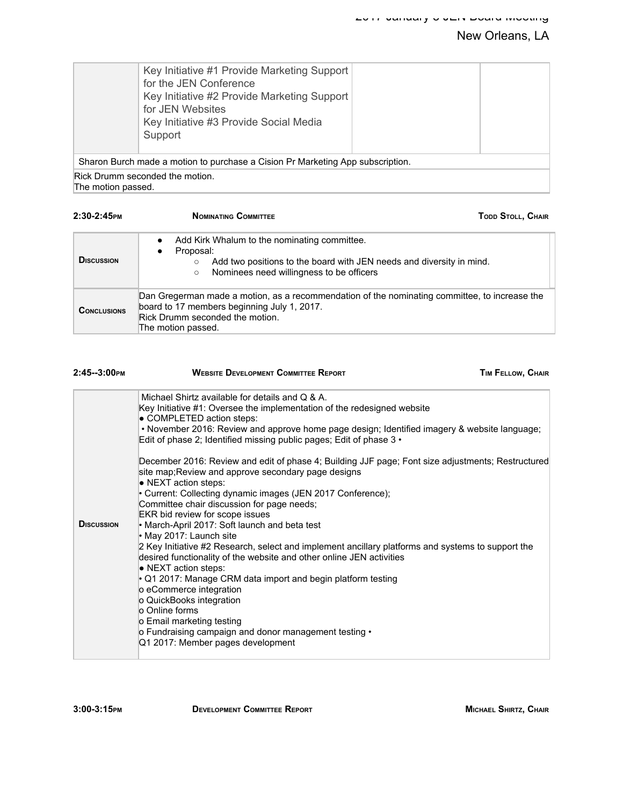| Support                                                                        | Key Initiative #1 Provide Marketing Support<br>for the JEN Conference<br>Key Initiative #2 Provide Marketing Support<br>for JEN Websites<br>Key Initiative #3 Provide Social Media |  |
|--------------------------------------------------------------------------------|------------------------------------------------------------------------------------------------------------------------------------------------------------------------------------|--|
| Sharon Burch made a motion to purchase a Cision Pr Marketing App subscription. |                                                                                                                                                                                    |  |
| Rick Drumm seconded the motion.                                                |                                                                                                                                                                                    |  |

The motion passed.

| $2:30-2:45$ PM     | <b>NOMINATING COMMITTEE</b><br><b>TODD STOLL, CHAIR</b>                                                                                                                                                                       |  |
|--------------------|-------------------------------------------------------------------------------------------------------------------------------------------------------------------------------------------------------------------------------|--|
| <b>DISCUSSION</b>  | Add Kirk Whalum to the nominating committee.<br>$\bullet$<br>Proposal:<br>$\bullet$<br>Add two positions to the board with JEN needs and diversity in mind.<br>$\circ$<br>Nominees need willingness to be officers<br>$\circ$ |  |
| <b>CONCLUSIONS</b> | Dan Gregerman made a motion, as a recommendation of the nominating committee, to increase the<br>board to 17 members beginning July 1, 2017.<br>Rick Drumm seconded the motion.<br>The motion passed.                         |  |

| $2:45-3:00$ PM     | <b>WEBSITE DEVELOPMENT COMMITTEE REPORT</b>                                                                                                                                                                                                                                                                                                                                                                                                                                                                                                                                                                                                                                                                                                                                                                                                                                                                                                                                                                                                                                                                                                                                                                                           | TIM FELLOW, CHAIR |
|--------------------|---------------------------------------------------------------------------------------------------------------------------------------------------------------------------------------------------------------------------------------------------------------------------------------------------------------------------------------------------------------------------------------------------------------------------------------------------------------------------------------------------------------------------------------------------------------------------------------------------------------------------------------------------------------------------------------------------------------------------------------------------------------------------------------------------------------------------------------------------------------------------------------------------------------------------------------------------------------------------------------------------------------------------------------------------------------------------------------------------------------------------------------------------------------------------------------------------------------------------------------|-------------------|
| <b>D</b> ISCUSSION | Michael Shirtz available for details and Q & A.<br>Key Initiative #1: Oversee the implementation of the redesigned website<br>• COMPLETED action steps:<br>• November 2016: Review and approve home page design; Identified imagery & website language;<br>Edit of phase 2; Identified missing public pages; Edit of phase $3 \cdot$<br>December 2016: Review and edit of phase 4; Building JJF page; Font size adjustments; Restructured<br>site map; Review and approve secondary page designs<br>• NEXT action steps:<br>• Current: Collecting dynamic images (JEN 2017 Conference);<br>Committee chair discussion for page needs;<br>EKR bid review for scope issues<br>• March-April 2017: Soft launch and beta test<br>• May 2017: Launch site<br>2 Key Initiative #2 Research, select and implement ancillary platforms and systems to support the<br>desired functionality of the website and other online JEN activities<br>· NEXT action steps:<br>$\cdot$ Q1 2017: Manage CRM data import and begin platform testing<br>lo eCommerce integration<br>o QuickBooks integration<br>lo Online forms<br>o Email marketing testing<br>o Fundraising campaign and donor management testing •<br>Q1 2017: Member pages development |                   |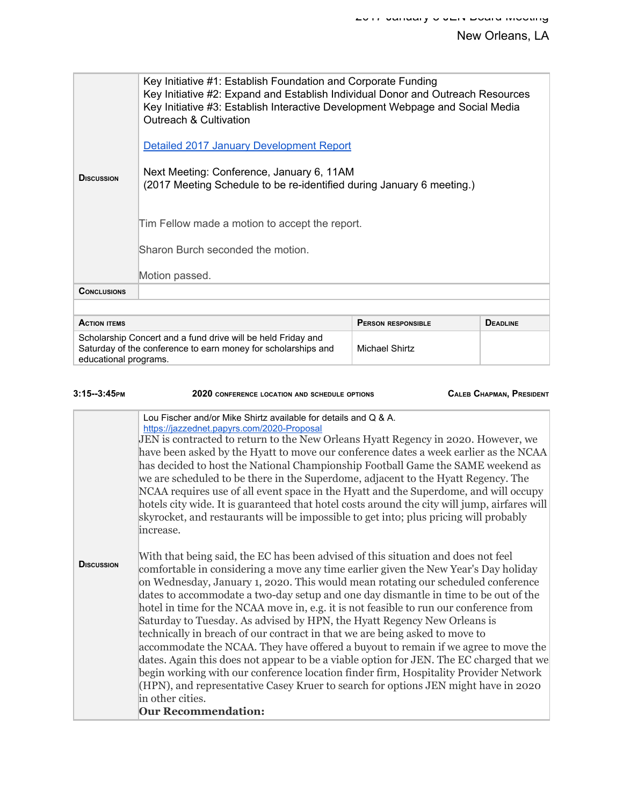| <b>DISCUSSION</b>                                                                                                                                                        | Key Initiative #1: Establish Foundation and Corporate Funding<br>Key Initiative #2: Expand and Establish Individual Donor and Outreach Resources<br>Key Initiative #3: Establish Interactive Development Webpage and Social Media<br>Outreach & Cultivation<br>Detailed 2017 January Development Report<br>Next Meeting: Conference, January 6, 11AM<br>(2017 Meeting Schedule to be re-identified during January 6 meeting.)<br>Tim Fellow made a motion to accept the report.<br>Sharon Burch seconded the motion. |                           |                 |
|--------------------------------------------------------------------------------------------------------------------------------------------------------------------------|----------------------------------------------------------------------------------------------------------------------------------------------------------------------------------------------------------------------------------------------------------------------------------------------------------------------------------------------------------------------------------------------------------------------------------------------------------------------------------------------------------------------|---------------------------|-----------------|
| <b>CONCLUSIONS</b>                                                                                                                                                       |                                                                                                                                                                                                                                                                                                                                                                                                                                                                                                                      |                           |                 |
|                                                                                                                                                                          |                                                                                                                                                                                                                                                                                                                                                                                                                                                                                                                      |                           |                 |
| <b>ACTION ITEMS</b>                                                                                                                                                      |                                                                                                                                                                                                                                                                                                                                                                                                                                                                                                                      | <b>PERSON RESPONSIBLE</b> | <b>DEADLINE</b> |
| Scholarship Concert and a fund drive will be held Friday and<br>Saturday of the conference to earn money for scholarships and<br>Michael Shirtz<br>educational programs. |                                                                                                                                                                                                                                                                                                                                                                                                                                                                                                                      |                           |                 |

| $3:15-3:45$ PM     | 2020 CONFERENCE LOCATION AND SCHEDULE OPTIONS                                                                                                                                                                                                                                                                                                                                                                                                                                                                                                                                                                                                                                                                                                                                                                                                                                                                                                                                                                                                                                                                                                                                                                                                                                                                                                                                                                                                                                                                                                                                                                                                                                                                                                                   | <b>CALEB CHAPMAN, PRESIDENT</b> |
|--------------------|-----------------------------------------------------------------------------------------------------------------------------------------------------------------------------------------------------------------------------------------------------------------------------------------------------------------------------------------------------------------------------------------------------------------------------------------------------------------------------------------------------------------------------------------------------------------------------------------------------------------------------------------------------------------------------------------------------------------------------------------------------------------------------------------------------------------------------------------------------------------------------------------------------------------------------------------------------------------------------------------------------------------------------------------------------------------------------------------------------------------------------------------------------------------------------------------------------------------------------------------------------------------------------------------------------------------------------------------------------------------------------------------------------------------------------------------------------------------------------------------------------------------------------------------------------------------------------------------------------------------------------------------------------------------------------------------------------------------------------------------------------------------|---------------------------------|
| <b>D</b> ISCUSSION | Lou Fischer and/or Mike Shirtz available for details and Q & A.<br>https://jazzednet.papyrs.com/2020-Proposal<br>JEN is contracted to return to the New Orleans Hyatt Regency in 2020. However, we<br>have been asked by the Hyatt to move our conference dates a week earlier as the NCAA<br>has decided to host the National Championship Football Game the SAME weekend as<br>we are scheduled to be there in the Superdome, adjacent to the Hyatt Regency. The<br>NCAA requires use of all event space in the Hyatt and the Superdome, and will occupy<br>hotels city wide. It is guaranteed that hotel costs around the city will jump, airfares will<br>skyrocket, and restaurants will be impossible to get into; plus pricing will probably<br>increase.<br>With that being said, the EC has been advised of this situation and does not feel<br>comfortable in considering a move any time earlier given the New Year's Day holiday<br>on Wednesday, January 1, 2020. This would mean rotating our scheduled conference<br>dates to accommodate a two-day setup and one day dismantle in time to be out of the<br>hotel in time for the NCAA move in, e.g. it is not feasible to run our conference from<br>Saturday to Tuesday. As advised by HPN, the Hyatt Regency New Orleans is<br>technically in breach of our contract in that we are being asked to move to<br>accommodate the NCAA. They have offered a buyout to remain if we agree to move the<br>dates. Again this does not appear to be a viable option for JEN. The EC charged that we<br>begin working with our conference location finder firm, Hospitality Provider Network<br>(HPN), and representative Casey Kruer to search for options JEN might have in 2020<br>in other cities. |                                 |
|                    | <b>Our Recommendation:</b>                                                                                                                                                                                                                                                                                                                                                                                                                                                                                                                                                                                                                                                                                                                                                                                                                                                                                                                                                                                                                                                                                                                                                                                                                                                                                                                                                                                                                                                                                                                                                                                                                                                                                                                                      |                                 |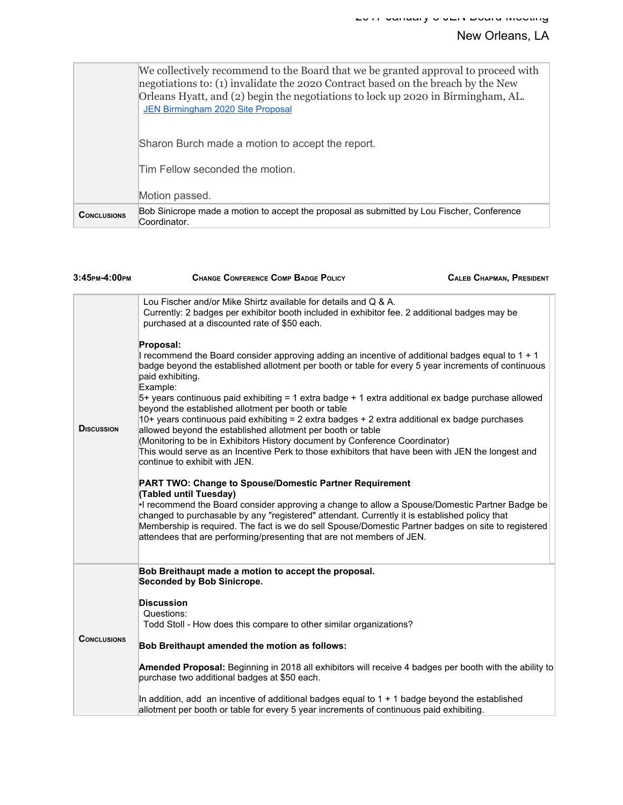|                    | We collectively recommend to the Board that we be granted approval to proceed with<br>negotiations to: (1) invalidate the 2020 Contract based on the breach by the New<br>Orleans Hyatt, and (2) begin the negotiations to lock up 2020 in Birmingham, AL.<br>JEN Birmingham 2020 Site Proposal |  |
|--------------------|-------------------------------------------------------------------------------------------------------------------------------------------------------------------------------------------------------------------------------------------------------------------------------------------------|--|
|                    | Sharon Burch made a motion to accept the report.                                                                                                                                                                                                                                                |  |
|                    | Tim Fellow seconded the motion.                                                                                                                                                                                                                                                                 |  |
|                    | Motion passed.                                                                                                                                                                                                                                                                                  |  |
| <b>CONCLUSIONS</b> | Bob Sinicrope made a motion to accept the proposal as submitted by Lou Fischer, Conference<br>Coordinator.                                                                                                                                                                                      |  |

| 3:45рм-4:00рм      | <b>CHANGE CONFERENCE COMP BADGE POLICY</b>                                                                                                                                                                                                                                                                                                                                                                                                                                                                                                         | <b>CALEB CHAPMAN, PRESIDENT</b> |
|--------------------|----------------------------------------------------------------------------------------------------------------------------------------------------------------------------------------------------------------------------------------------------------------------------------------------------------------------------------------------------------------------------------------------------------------------------------------------------------------------------------------------------------------------------------------------------|---------------------------------|
|                    | Lou Fischer and/or Mike Shirtz available for details and Q & A.<br>Currently: 2 badges per exhibitor booth included in exhibitor fee. 2 additional badges may be<br>purchased at a discounted rate of \$50 each.                                                                                                                                                                                                                                                                                                                                   |                                 |
| <b>D</b> ISCUSSION | Proposal:<br>I recommend the Board consider approving adding an incentive of additional badges equal to 1 + 1<br>badge beyond the established allotment per booth or table for every 5 year increments of continuous<br>paid exhibiting.<br>Example:                                                                                                                                                                                                                                                                                               |                                 |
|                    | $5+$ years continuous paid exhibiting = 1 extra badge $+$ 1 extra additional ex badge purchase allowed<br>beyond the established allotment per booth or table<br>10+ years continuous paid exhibiting = 2 extra badges + 2 extra additional ex badge purchases<br>allowed beyond the established allotment per booth or table<br>(Monitoring to be in Exhibitors History document by Conference Coordinator)<br>This would serve as an Incentive Perk to those exhibitors that have been with JEN the longest and<br>continue to exhibit with JEN. |                                 |
|                    | PART TWO: Change to Spouse/Domestic Partner Requirement<br>(Tabled until Tuesday)<br>I recommend the Board consider approving a change to allow a Spouse/Domestic Partner Badge be<br>changed to purchasable by any "registered" attendant. Currently it is established policy that<br>Membership is required. The fact is we do sell Spouse/Domestic Partner badges on site to registered<br>attendees that are performing/presenting that are not members of JEN.                                                                                |                                 |
|                    | Bob Breithaupt made a motion to accept the proposal.<br><b>Seconded by Bob Sinicrope.</b>                                                                                                                                                                                                                                                                                                                                                                                                                                                          |                                 |
| <b>CONCLUSIONS</b> | <b>Discussion</b><br>Questions:<br>Todd Stoll - How does this compare to other similar organizations?                                                                                                                                                                                                                                                                                                                                                                                                                                              |                                 |
|                    | Bob Breithaupt amended the motion as follows:                                                                                                                                                                                                                                                                                                                                                                                                                                                                                                      |                                 |
|                    | <b>Amended Proposal:</b> Beginning in 2018 all exhibitors will receive 4 badges per booth with the ability to<br>purchase two additional badges at \$50 each.                                                                                                                                                                                                                                                                                                                                                                                      |                                 |
|                    | In addition, add an incentive of additional badges equal to $1 + 1$ badge beyond the established<br>allotment per booth or table for every 5 year increments of continuous paid exhibiting.                                                                                                                                                                                                                                                                                                                                                        |                                 |